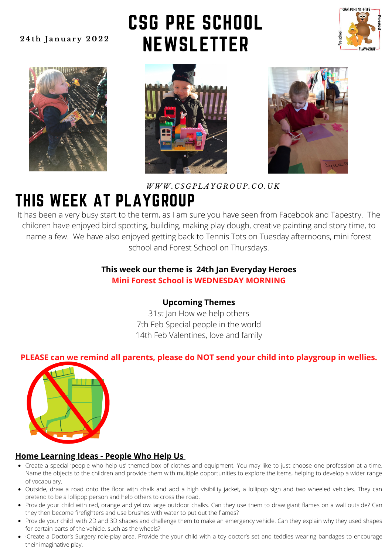### **2 4 t h J a n u a r y 2 0 2 2**

## CSG PRE SCHOOL **NEWSLETTER**









### *WWW. C S G P L A Y G R O U P. C O . U K*

### THIS WEEK AT PLAYGROUP

It has been a very busy start to the term, as I am sure you have seen from Facebook and Tapestry. The children have enjoyed bird spotting, building, making play dough, creative painting and story time, to name a few. We have also enjoyed getting back to Tennis Tots on Tuesday afternoons, mini forest school and Forest School on Thursdays.

### **This week our theme is 24th Jan Everyday Heroes Mini Forest School is WEDNESDAY MORNING**

### **Upcoming Themes**

31st Jan How we help others 7th Feb Special people in the world 14th Feb Valentines, love and family

### **PLEASE can we remind all parents, please do NOT send your child into playgroup in wellies.**



### **Home Learning Ideas - People Who Help Us**

- Create a special 'people who help us' themed box of clothes and equipment. You may like to just choose one profession at a time. Name the objects to the children and provide them with multiple opportunities to explore the items, helping to develop a wider range of vocabulary.
- Outside, draw a road onto the floor with chalk and add a high visibility jacket, a lollipop sign and two wheeled vehicles. They can pretend to be a lollipop person and help others to cross the road.
- Provide your child with red, orange and yellow large outdoor chalks. Can they use them to draw giant flames on a wall outside? Can they then become firefighters and use brushes with water to put out the flames?
- Provide your child with 2D and 3D shapes and challenge them to make an emergency vehicle. Can they explain why they used shapes for certain parts of the vehicle, such as the wheels?
- ·Create a [Doctor's Surgery](https://www.twinkl.co.uk/resource/t-t-252-doctors-surgery-role-play-pack) role-play area. Provide the your child with a toy doctor's set and teddies wearing bandages to encourage their imaginative play.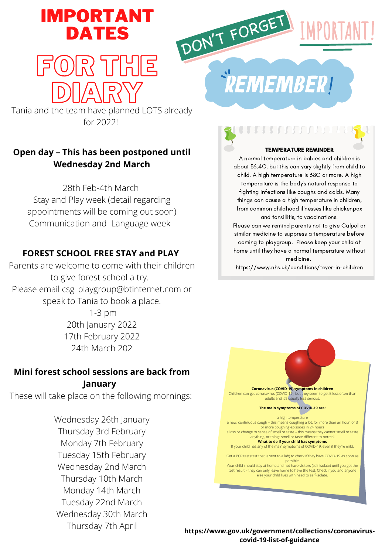## IMPORTANT DATES



## FOR THE DIARY

Tania and the team have planned LOTS already for 2022!

### **Open day – This has been postponed until Wednesday 2nd March**

28th Feb-4th March Stay and Play week (detail regarding appointments will be coming out soon) Communication and Language week

### **FOREST SCHOOL FREE STAY and PLAY**

Parents are welcome to come with their children to give forest school a try. Please email csg\_playgroup@btinternet.com or speak to Tania to book a place.

> 1-3 pm 20th January 2022 17th February 2022 24th March 202

### **Mini forest school sessions are back from January**

These will take place on the following mornings:

Wednesday 26th January Thursday 3rd February Monday 7th February Tuesday 15th February Wednesday 2nd March Thursday 10th March Monday 14th March Tuesday 22nd March Wednesday 30th March Thursday 7th April

**REMEMBER!** 

### TEMPERATURE REMINDER

A normal temperature in babies and children is about 36.4C, but this can vary slightly from child to child. A high temperature is 38C or more. A high temperature is the body's natural response to fighting infections like coughs and colds. Many things can cause a high temperature in children, from common childhood illnesses like chickenpox and tonsillitis, to vaccinations.

Please can we remind parents not to give Calpol or similar medicine to suppress a temperature before coming to playgroup. Please keep your child at home until they have a normal temperature without medicine.

https://www.nhs.uk/conditions/fever-in-children

**Coronavirus (COVID-19) symptoms in children** Children can get coronavirus (COVID-19), but they seem to get it less often than adults and it's usually less serious. **The main symptoms of COVID-19 are:** a high temperature<br>a new, continuous cough – this means coughing a lot, for more than an hour, or 3 or more coughing episodes in 24 hours a loss or change to sense of smell or taste – this means they cannot smell or taste anything, or things smell or taste different to normal **What to do if your child has symptoms** If your child has any of the main symptoms of COVID-19, even if they're mild: Get a PCR test (test that is sent to a lab) to check if they have COVID-19 as soon as possible. Your child should stay at home and not have visitors (self-isolate) until you get the test result – they can only leave home to have the test. Check if you and an else your child lives with need to self-isolate.

**https://www.gov.uk/government/collections/coronaviruscovid-19-list-of-guidance**